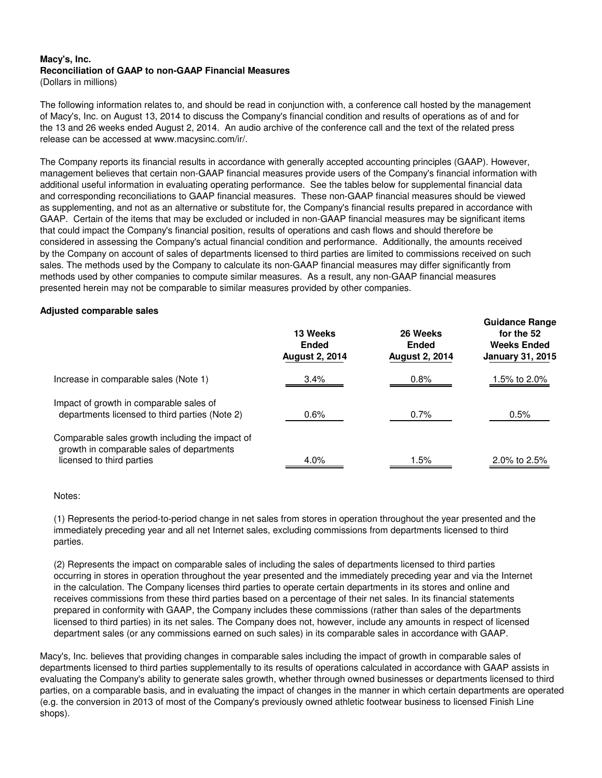## **Macy's, Inc. Reconciliation of GAAP to non-GAAP Financial Measures**

(Dollars in millions)

The following information relates to, and should be read in conjunction with, a conference call hosted by the management of Macy's, Inc. on August 13, 2014 to discuss the Company's financial condition and results of operations as of and for the 13 and 26 weeks ended August 2, 2014. An audio archive of the conference call and the text of the related press release can be accessed at www.macysinc.com/ir/.

The Company reports its financial results in accordance with generally accepted accounting principles (GAAP). However, management believes that certain non-GAAP financial measures provide users of the Company's financial information with additional useful information in evaluating operating performance. See the tables below for supplemental financial data and corresponding reconciliations to GAAP financial measures. These non-GAAP financial measures should be viewed as supplementing, and not as an alternative or substitute for, the Company's financial results prepared in accordance with GAAP. Certain of the items that may be excluded or included in non-GAAP financial measures may be significant items that could impact the Company's financial position, results of operations and cash flows and should therefore be considered in assessing the Company's actual financial condition and performance. Additionally, the amounts received by the Company on account of sales of departments licensed to third parties are limited to commissions received on such sales. The methods used by the Company to calculate its non-GAAP financial measures may differ significantly from methods used by other companies to compute similar measures. As a result, any non-GAAP financial measures presented herein may not be comparable to similar measures provided by other companies.

## **Adjusted comparable sales**

|                                                                                                                           | 13 Weeks<br><b>Ended</b><br><b>August 2, 2014</b> | 26 Weeks<br><b>Ended</b><br><b>August 2, 2014</b> | ----------------<br>for the 52<br><b>Weeks Ended</b><br><b>January 31, 2015</b> |
|---------------------------------------------------------------------------------------------------------------------------|---------------------------------------------------|---------------------------------------------------|---------------------------------------------------------------------------------|
| Increase in comparable sales (Note 1)                                                                                     | 3.4%                                              | 0.8%                                              | 1.5% to 2.0%                                                                    |
| Impact of growth in comparable sales of<br>departments licensed to third parties (Note 2)                                 | $0.6\%$                                           | 0.7%                                              | 0.5%                                                                            |
| Comparable sales growth including the impact of<br>growth in comparable sales of departments<br>licensed to third parties | $4.0\%$                                           | 1.5%                                              | 2.0% to 2.5%                                                                    |

**Guidance Range**

Notes:

(1) Represents the period-to-period change in net sales from stores in operation throughout the year presented and the immediately preceding year and all net Internet sales, excluding commissions from departments licensed to third parties.

(2) Represents the impact on comparable sales of including the sales of departments licensed to third parties occurring in stores in operation throughout the year presented and the immediately preceding year and via the Internet in the calculation. The Company licenses third parties to operate certain departments in its stores and online and receives commissions from these third parties based on a percentage of their net sales. In its financial statements prepared in conformity with GAAP, the Company includes these commissions (rather than sales of the departments licensed to third parties) in its net sales. The Company does not, however, include any amounts in respect of licensed department sales (or any commissions earned on such sales) in its comparable sales in accordance with GAAP.

Macy's, Inc. believes that providing changes in comparable sales including the impact of growth in comparable sales of departments licensed to third parties supplementally to its results of operations calculated in accordance with GAAP assists in evaluating the Company's ability to generate sales growth, whether through owned businesses or departments licensed to third parties, on a comparable basis, and in evaluating the impact of changes in the manner in which certain departments are operated (e.g. the conversion in 2013 of most of the Company's previously owned athletic footwear business to licensed Finish Line shops).